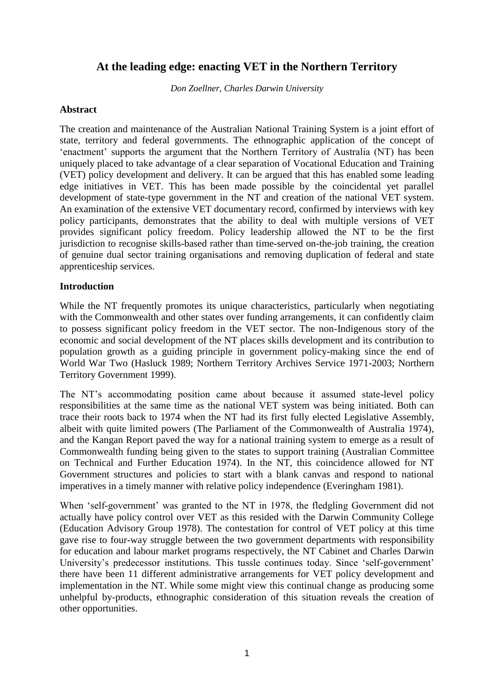# **At the leading edge: enacting VET in the Northern Territory**

*Don Zoellner, Charles Darwin University*

#### **Abstract**

The creation and maintenance of the Australian National Training System is a joint effort of state, territory and federal governments. The ethnographic application of the concept of 'enactment' supports the argument that the Northern Territory of Australia (NT) has been uniquely placed to take advantage of a clear separation of Vocational Education and Training (VET) policy development and delivery. It can be argued that this has enabled some leading edge initiatives in VET. This has been made possible by the coincidental yet parallel development of state-type government in the NT and creation of the national VET system. An examination of the extensive VET documentary record, confirmed by interviews with key policy participants, demonstrates that the ability to deal with multiple versions of VET provides significant policy freedom. Policy leadership allowed the NT to be the first jurisdiction to recognise skills-based rather than time-served on-the-job training, the creation of genuine dual sector training organisations and removing duplication of federal and state apprenticeship services.

## **Introduction**

While the NT frequently promotes its unique characteristics, particularly when negotiating with the Commonwealth and other states over funding arrangements, it can confidently claim to possess significant policy freedom in the VET sector. The non-Indigenous story of the economic and social development of the NT places skills development and its contribution to population growth as a guiding principle in government policy-making since the end of World War Two (Hasluck 1989; Northern Territory Archives Service 1971-2003; Northern Territory Government 1999).

The NT's accommodating position came about because it assumed state-level policy responsibilities at the same time as the national VET system was being initiated. Both can trace their roots back to 1974 when the NT had its first fully elected Legislative Assembly, albeit with quite limited powers (The Parliament of the Commonwealth of Australia 1974), and the Kangan Report paved the way for a national training system to emerge as a result of Commonwealth funding being given to the states to support training (Australian Committee on Technical and Further Education 1974). In the NT, this coincidence allowed for NT Government structures and policies to start with a blank canvas and respond to national imperatives in a timely manner with relative policy independence (Everingham 1981).

When 'self-government' was granted to the NT in 1978, the fledgling Government did not actually have policy control over VET as this resided with the Darwin Community College (Education Advisory Group 1978). The contestation for control of VET policy at this time gave rise to four-way struggle between the two government departments with responsibility for education and labour market programs respectively, the NT Cabinet and Charles Darwin University's predecessor institutions. This tussle continues today. Since 'self-government' there have been 11 different administrative arrangements for VET policy development and implementation in the NT. While some might view this continual change as producing some unhelpful by-products, ethnographic consideration of this situation reveals the creation of other opportunities.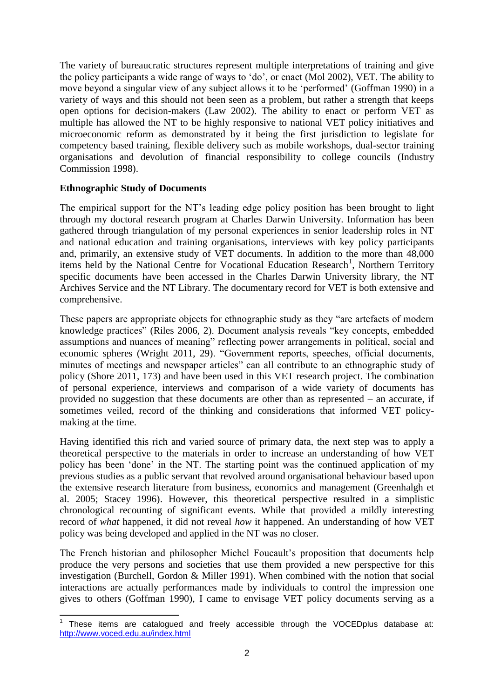The variety of bureaucratic structures represent multiple interpretations of training and give the policy participants a wide range of ways to 'do', or enact (Mol 2002), VET. The ability to move beyond a singular view of any subject allows it to be 'performed' (Goffman 1990) in a variety of ways and this should not been seen as a problem, but rather a strength that keeps open options for decision-makers (Law 2002). The ability to enact or perform VET as multiple has allowed the NT to be highly responsive to national VET policy initiatives and microeconomic reform as demonstrated by it being the first jurisdiction to legislate for competency based training, flexible delivery such as mobile workshops, dual-sector training organisations and devolution of financial responsibility to college councils (Industry Commission 1998).

# **Ethnographic Study of Documents**

The empirical support for the NT's leading edge policy position has been brought to light through my doctoral research program at Charles Darwin University. Information has been gathered through triangulation of my personal experiences in senior leadership roles in NT and national education and training organisations, interviews with key policy participants and, primarily, an extensive study of VET documents. In addition to the more than 48,000 items held by the National Centre for Vocational Education Research<sup>1</sup>, Northern Territory specific documents have been accessed in the Charles Darwin University library, the NT Archives Service and the NT Library. The documentary record for VET is both extensive and comprehensive.

These papers are appropriate objects for ethnographic study as they "are artefacts of modern knowledge practices" (Riles 2006, 2). Document analysis reveals "key concepts, embedded assumptions and nuances of meaning" reflecting power arrangements in political, social and economic spheres (Wright 2011, 29). "Government reports, speeches, official documents, minutes of meetings and newspaper articles" can all contribute to an ethnographic study of policy (Shore 2011, 173) and have been used in this VET research project. The combination of personal experience, interviews and comparison of a wide variety of documents has provided no suggestion that these documents are other than as represented – an accurate, if sometimes veiled, record of the thinking and considerations that informed VET policymaking at the time.

Having identified this rich and varied source of primary data, the next step was to apply a theoretical perspective to the materials in order to increase an understanding of how VET policy has been 'done' in the NT. The starting point was the continued application of my previous studies as a public servant that revolved around organisational behaviour based upon the extensive research literature from business, economics and management (Greenhalgh et al. 2005; Stacey 1996). However, this theoretical perspective resulted in a simplistic chronological recounting of significant events. While that provided a mildly interesting record of *what* happened, it did not reveal *how* it happened. An understanding of how VET policy was being developed and applied in the NT was no closer.

The French historian and philosopher Michel Foucault's proposition that documents help produce the very persons and societies that use them provided a new perspective for this investigation (Burchell, Gordon & Miller 1991). When combined with the notion that social interactions are actually performances made by individuals to control the impression one gives to others (Goffman 1990), I came to envisage VET policy documents serving as a

<sup>-</sup>1 These items are catalogued and freely accessible through the VOCEDplus database at: <http://www.voced.edu.au/index.html>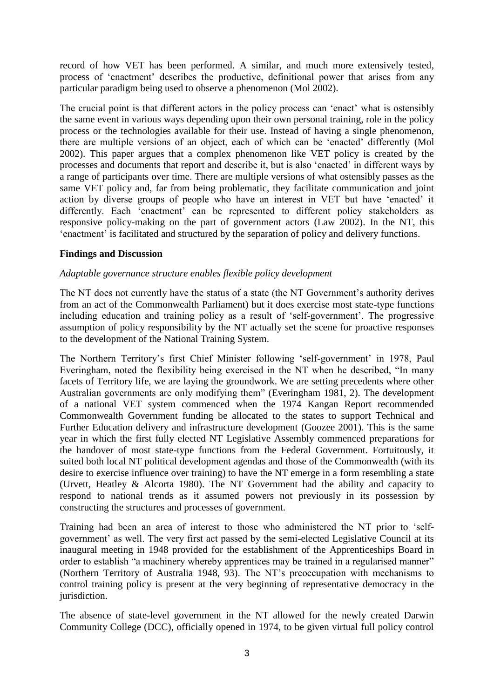record of how VET has been performed. A similar, and much more extensively tested, process of 'enactment' describes the productive, definitional power that arises from any particular paradigm being used to observe a phenomenon (Mol 2002).

The crucial point is that different actors in the policy process can 'enact' what is ostensibly the same event in various ways depending upon their own personal training, role in the policy process or the technologies available for their use. Instead of having a single phenomenon, there are multiple versions of an object, each of which can be 'enacted' differently (Mol 2002). This paper argues that a complex phenomenon like VET policy is created by the processes and documents that report and describe it, but is also 'enacted' in different ways by a range of participants over time. There are multiple versions of what ostensibly passes as the same VET policy and, far from being problematic, they facilitate communication and joint action by diverse groups of people who have an interest in VET but have 'enacted' it differently. Each 'enactment' can be represented to different policy stakeholders as responsive policy-making on the part of government actors (Law 2002). In the NT, this 'enactment' is facilitated and structured by the separation of policy and delivery functions.

# **Findings and Discussion**

## *Adaptable governance structure enables flexible policy development*

The NT does not currently have the status of a state (the NT Government's authority derives from an act of the Commonwealth Parliament) but it does exercise most state-type functions including education and training policy as a result of 'self-government'. The progressive assumption of policy responsibility by the NT actually set the scene for proactive responses to the development of the National Training System.

The Northern Territory's first Chief Minister following 'self-government' in 1978, Paul Everingham, noted the flexibility being exercised in the NT when he described, "In many facets of Territory life, we are laying the groundwork. We are setting precedents where other Australian governments are only modifying them" (Everingham 1981, 2). The development of a national VET system commenced when the 1974 Kangan Report recommended Commonwealth Government funding be allocated to the states to support Technical and Further Education delivery and infrastructure development (Goozee 2001). This is the same year in which the first fully elected NT Legislative Assembly commenced preparations for the handover of most state-type functions from the Federal Government. Fortuitously, it suited both local NT political development agendas and those of the Commonwealth (with its desire to exercise influence over training) to have the NT emerge in a form resembling a state (Urvett, Heatley & Alcorta 1980). The NT Government had the ability and capacity to respond to national trends as it assumed powers not previously in its possession by constructing the structures and processes of government.

Training had been an area of interest to those who administered the NT prior to 'selfgovernment' as well. The very first act passed by the semi-elected Legislative Council at its inaugural meeting in 1948 provided for the establishment of the Apprenticeships Board in order to establish "a machinery whereby apprentices may be trained in a regularised manner" (Northern Territory of Australia 1948, 93). The NT's preoccupation with mechanisms to control training policy is present at the very beginning of representative democracy in the jurisdiction.

The absence of state-level government in the NT allowed for the newly created Darwin Community College (DCC), officially opened in 1974, to be given virtual full policy control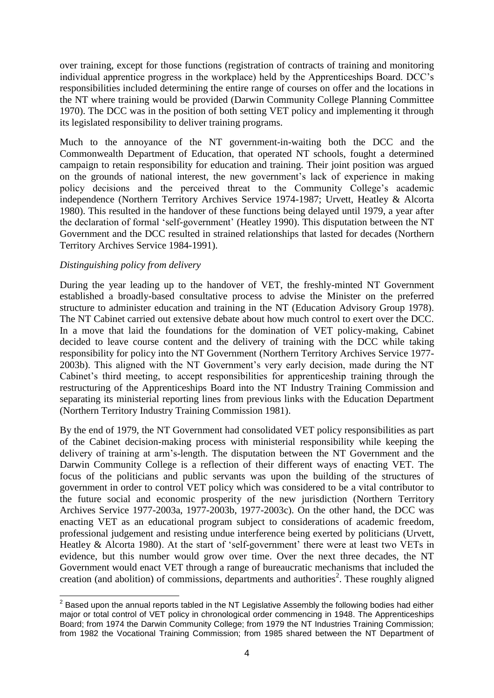over training, except for those functions (registration of contracts of training and monitoring individual apprentice progress in the workplace) held by the Apprenticeships Board. DCC's responsibilities included determining the entire range of courses on offer and the locations in the NT where training would be provided (Darwin Community College Planning Committee 1970). The DCC was in the position of both setting VET policy and implementing it through its legislated responsibility to deliver training programs.

Much to the annoyance of the NT government-in-waiting both the DCC and the Commonwealth Department of Education, that operated NT schools, fought a determined campaign to retain responsibility for education and training. Their joint position was argued on the grounds of national interest, the new government's lack of experience in making policy decisions and the perceived threat to the Community College's academic independence (Northern Territory Archives Service 1974-1987; Urvett, Heatley & Alcorta 1980). This resulted in the handover of these functions being delayed until 1979, a year after the declaration of formal 'self-government' (Heatley 1990). This disputation between the NT Government and the DCC resulted in strained relationships that lasted for decades (Northern Territory Archives Service 1984-1991).

## *Distinguishing policy from delivery*

During the year leading up to the handover of VET, the freshly-minted NT Government established a broadly-based consultative process to advise the Minister on the preferred structure to administer education and training in the NT (Education Advisory Group 1978). The NT Cabinet carried out extensive debate about how much control to exert over the DCC. In a move that laid the foundations for the domination of VET policy-making, Cabinet decided to leave course content and the delivery of training with the DCC while taking responsibility for policy into the NT Government (Northern Territory Archives Service 1977- 2003b). This aligned with the NT Government's very early decision, made during the NT Cabinet's third meeting, to accept responsibilities for apprenticeship training through the restructuring of the Apprenticeships Board into the NT Industry Training Commission and separating its ministerial reporting lines from previous links with the Education Department (Northern Territory Industry Training Commission 1981).

By the end of 1979, the NT Government had consolidated VET policy responsibilities as part of the Cabinet decision-making process with ministerial responsibility while keeping the delivery of training at arm's-length. The disputation between the NT Government and the Darwin Community College is a reflection of their different ways of enacting VET. The focus of the politicians and public servants was upon the building of the structures of government in order to control VET policy which was considered to be a vital contributor to the future social and economic prosperity of the new jurisdiction (Northern Territory Archives Service 1977-2003a, 1977-2003b, 1977-2003c). On the other hand, the DCC was enacting VET as an educational program subject to considerations of academic freedom, professional judgement and resisting undue interference being exerted by politicians (Urvett, Heatley & Alcorta 1980). At the start of 'self-government' there were at least two VETs in evidence, but this number would grow over time. Over the next three decades, the NT Government would enact VET through a range of bureaucratic mechanisms that included the creation (and abolition) of commissions, departments and authorities<sup>2</sup>. These roughly aligned

 2 Based upon the annual reports tabled in the NT Legislative Assembly the following bodies had either major or total control of VET policy in chronological order commencing in 1948. The Apprenticeships Board; from 1974 the Darwin Community College; from 1979 the NT Industries Training Commission; from 1982 the Vocational Training Commission; from 1985 shared between the NT Department of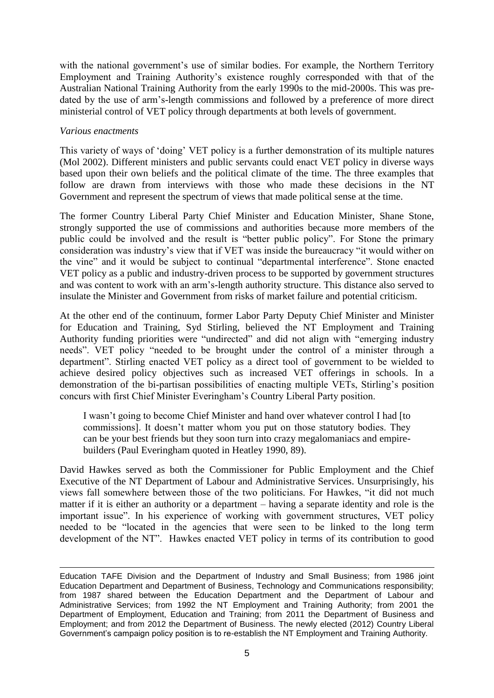with the national government's use of similar bodies. For example, the Northern Territory Employment and Training Authority's existence roughly corresponded with that of the Australian National Training Authority from the early 1990s to the mid-2000s. This was predated by the use of arm's-length commissions and followed by a preference of more direct ministerial control of VET policy through departments at both levels of government.

#### *Various enactments*

-

This variety of ways of 'doing' VET policy is a further demonstration of its multiple natures (Mol 2002). Different ministers and public servants could enact VET policy in diverse ways based upon their own beliefs and the political climate of the time. The three examples that follow are drawn from interviews with those who made these decisions in the NT Government and represent the spectrum of views that made political sense at the time.

The former Country Liberal Party Chief Minister and Education Minister, Shane Stone, strongly supported the use of commissions and authorities because more members of the public could be involved and the result is "better public policy". For Stone the primary consideration was industry's view that if VET was inside the bureaucracy "it would wither on the vine" and it would be subject to continual "departmental interference". Stone enacted VET policy as a public and industry-driven process to be supported by government structures and was content to work with an arm's-length authority structure. This distance also served to insulate the Minister and Government from risks of market failure and potential criticism.

At the other end of the continuum, former Labor Party Deputy Chief Minister and Minister for Education and Training, Syd Stirling, believed the NT Employment and Training Authority funding priorities were "undirected" and did not align with "emerging industry needs". VET policy "needed to be brought under the control of a minister through a department". Stirling enacted VET policy as a direct tool of government to be wielded to achieve desired policy objectives such as increased VET offerings in schools. In a demonstration of the bi-partisan possibilities of enacting multiple VETs, Stirling's position concurs with first Chief Minister Everingham's Country Liberal Party position.

I wasn't going to become Chief Minister and hand over whatever control I had [to commissions]. It doesn't matter whom you put on those statutory bodies. They can be your best friends but they soon turn into crazy megalomaniacs and empirebuilders (Paul Everingham quoted in Heatley 1990, 89).

David Hawkes served as both the Commissioner for Public Employment and the Chief Executive of the NT Department of Labour and Administrative Services. Unsurprisingly, his views fall somewhere between those of the two politicians. For Hawkes, "it did not much matter if it is either an authority or a department – having a separate identity and role is the important issue". In his experience of working with government structures, VET policy needed to be "located in the agencies that were seen to be linked to the long term development of the NT". Hawkes enacted VET policy in terms of its contribution to good

Education TAFE Division and the Department of Industry and Small Business; from 1986 joint Education Department and Department of Business, Technology and Communications responsibility; from 1987 shared between the Education Department and the Department of Labour and Administrative Services; from 1992 the NT Employment and Training Authority; from 2001 the Department of Employment, Education and Training; from 2011 the Department of Business and Employment; and from 2012 the Department of Business. The newly elected (2012) Country Liberal Government's campaign policy position is to re-establish the NT Employment and Training Authority.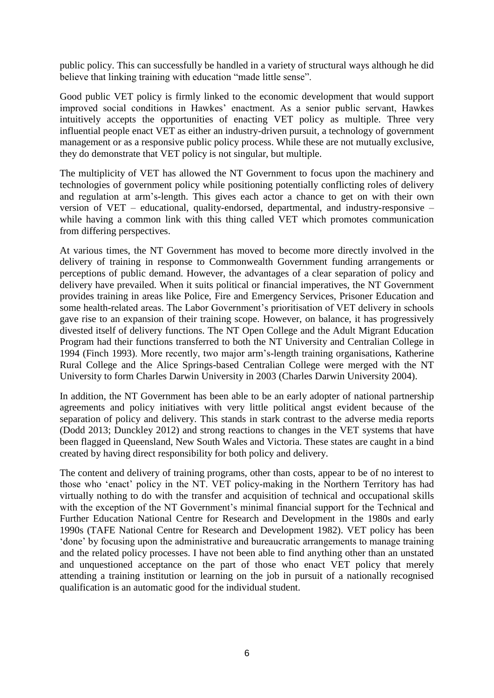public policy. This can successfully be handled in a variety of structural ways although he did believe that linking training with education "made little sense".

Good public VET policy is firmly linked to the economic development that would support improved social conditions in Hawkes' enactment. As a senior public servant, Hawkes intuitively accepts the opportunities of enacting VET policy as multiple. Three very influential people enact VET as either an industry-driven pursuit, a technology of government management or as a responsive public policy process. While these are not mutually exclusive, they do demonstrate that VET policy is not singular, but multiple.

The multiplicity of VET has allowed the NT Government to focus upon the machinery and technologies of government policy while positioning potentially conflicting roles of delivery and regulation at arm's-length. This gives each actor a chance to get on with their own version of VET – educational, quality-endorsed, departmental, and industry-responsive – while having a common link with this thing called VET which promotes communication from differing perspectives.

At various times, the NT Government has moved to become more directly involved in the delivery of training in response to Commonwealth Government funding arrangements or perceptions of public demand. However, the advantages of a clear separation of policy and delivery have prevailed. When it suits political or financial imperatives, the NT Government provides training in areas like Police, Fire and Emergency Services, Prisoner Education and some health-related areas. The Labor Government's prioritisation of VET delivery in schools gave rise to an expansion of their training scope. However, on balance, it has progressively divested itself of delivery functions. The NT Open College and the Adult Migrant Education Program had their functions transferred to both the NT University and Centralian College in 1994 (Finch 1993). More recently, two major arm's-length training organisations, Katherine Rural College and the Alice Springs-based Centralian College were merged with the NT University to form Charles Darwin University in 2003 (Charles Darwin University 2004).

In addition, the NT Government has been able to be an early adopter of national partnership agreements and policy initiatives with very little political angst evident because of the separation of policy and delivery. This stands in stark contrast to the adverse media reports (Dodd 2013; Dunckley 2012) and strong reactions to changes in the VET systems that have been flagged in Queensland, New South Wales and Victoria. These states are caught in a bind created by having direct responsibility for both policy and delivery.

The content and delivery of training programs, other than costs, appear to be of no interest to those who 'enact' policy in the NT. VET policy-making in the Northern Territory has had virtually nothing to do with the transfer and acquisition of technical and occupational skills with the exception of the NT Government's minimal financial support for the Technical and Further Education National Centre for Research and Development in the 1980s and early 1990s (TAFE National Centre for Research and Development 1982). VET policy has been 'done' by focusing upon the administrative and bureaucratic arrangements to manage training and the related policy processes. I have not been able to find anything other than an unstated and unquestioned acceptance on the part of those who enact VET policy that merely attending a training institution or learning on the job in pursuit of a nationally recognised qualification is an automatic good for the individual student.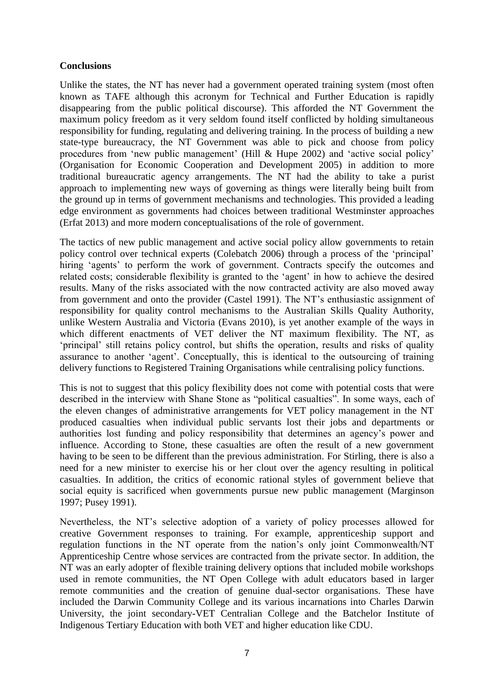## **Conclusions**

Unlike the states, the NT has never had a government operated training system (most often known as TAFE although this acronym for Technical and Further Education is rapidly disappearing from the public political discourse). This afforded the NT Government the maximum policy freedom as it very seldom found itself conflicted by holding simultaneous responsibility for funding, regulating and delivering training. In the process of building a new state-type bureaucracy, the NT Government was able to pick and choose from policy procedures from 'new public management' (Hill & Hupe 2002) and 'active social policy' (Organisation for Economic Cooperation and Development 2005) in addition to more traditional bureaucratic agency arrangements. The NT had the ability to take a purist approach to implementing new ways of governing as things were literally being built from the ground up in terms of government mechanisms and technologies. This provided a leading edge environment as governments had choices between traditional Westminster approaches (Erfat 2013) and more modern conceptualisations of the role of government.

The tactics of new public management and active social policy allow governments to retain policy control over technical experts (Colebatch 2006) through a process of the 'principal' hiring 'agents' to perform the work of government. Contracts specify the outcomes and related costs; considerable flexibility is granted to the 'agent' in how to achieve the desired results. Many of the risks associated with the now contracted activity are also moved away from government and onto the provider (Castel 1991). The NT's enthusiastic assignment of responsibility for quality control mechanisms to the Australian Skills Quality Authority, unlike Western Australia and Victoria (Evans 2010), is yet another example of the ways in which different enactments of VET deliver the NT maximum flexibility. The NT, as 'principal' still retains policy control, but shifts the operation, results and risks of quality assurance to another 'agent'. Conceptually, this is identical to the outsourcing of training delivery functions to Registered Training Organisations while centralising policy functions.

This is not to suggest that this policy flexibility does not come with potential costs that were described in the interview with Shane Stone as "political casualties". In some ways, each of the eleven changes of administrative arrangements for VET policy management in the NT produced casualties when individual public servants lost their jobs and departments or authorities lost funding and policy responsibility that determines an agency's power and influence. According to Stone, these casualties are often the result of a new government having to be seen to be different than the previous administration. For Stirling, there is also a need for a new minister to exercise his or her clout over the agency resulting in political casualties. In addition, the critics of economic rational styles of government believe that social equity is sacrificed when governments pursue new public management (Marginson 1997; Pusey 1991).

Nevertheless, the NT's selective adoption of a variety of policy processes allowed for creative Government responses to training. For example, apprenticeship support and regulation functions in the NT operate from the nation's only joint Commonwealth/NT Apprenticeship Centre whose services are contracted from the private sector. In addition, the NT was an early adopter of flexible training delivery options that included mobile workshops used in remote communities, the NT Open College with adult educators based in larger remote communities and the creation of genuine dual-sector organisations. These have included the Darwin Community College and its various incarnations into Charles Darwin University, the joint secondary-VET Centralian College and the Batchelor Institute of Indigenous Tertiary Education with both VET and higher education like CDU.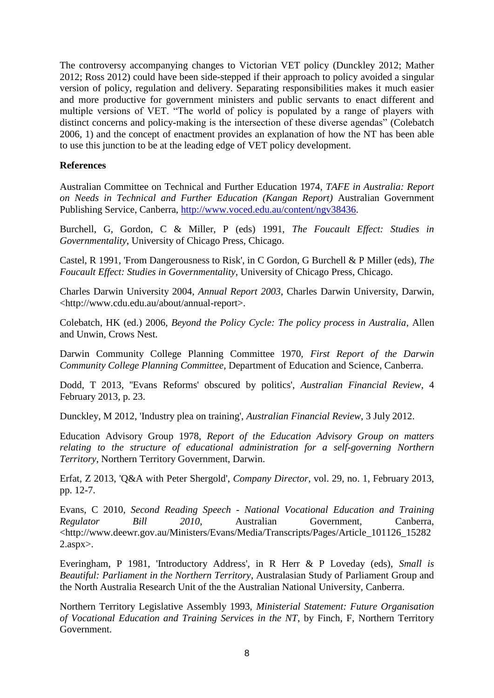The controversy accompanying changes to Victorian VET policy (Dunckley 2012; Mather 2012; Ross 2012) could have been side-stepped if their approach to policy avoided a singular version of policy, regulation and delivery. Separating responsibilities makes it much easier and more productive for government ministers and public servants to enact different and multiple versions of VET. "The world of policy is populated by a range of players with distinct concerns and policy-making is the intersection of these diverse agendas" (Colebatch 2006, 1) and the concept of enactment provides an explanation of how the NT has been able to use this junction to be at the leading edge of VET policy development.

## **References**

Australian Committee on Technical and Further Education 1974, *TAFE in Australia: Report on Needs in Technical and Further Education (Kangan Report)* Australian Government Publishing Service, Canberra, [http://www.voced.edu.au/content/ngv38436.](http://www.voced.edu.au/content/ngv38436)

Burchell, G, Gordon, C & Miller, P (eds) 1991, *The Foucault Effect: Studies in Governmentality*, University of Chicago Press, Chicago.

Castel, R 1991, 'From Dangerousness to Risk', in C Gordon, G Burchell & P Miller (eds), *The Foucault Effect: Studies in Governmentality*, University of Chicago Press, Chicago.

Charles Darwin University 2004, *Annual Report 2003*, Charles Darwin University, Darwin, <http://www.cdu.edu.au/about/annual-report>.

Colebatch, HK (ed.) 2006, *Beyond the Policy Cycle: The policy process in Australia*, Allen and Unwin, Crows Nest.

Darwin Community College Planning Committee 1970, *First Report of the Darwin Community College Planning Committee*, Department of Education and Science, Canberra.

Dodd, T 2013, ''Evans Reforms' obscured by politics', *Australian Financial Review*, 4 February 2013, p. 23.

Dunckley, M 2012, 'Industry plea on training', *Australian Financial Review*, 3 July 2012.

Education Advisory Group 1978, *Report of the Education Advisory Group on matters relating to the structure of educational administration for a self-governing Northern Territory*, Northern Territory Government, Darwin.

Erfat, Z 2013, 'Q&A with Peter Shergold', *Company Director*, vol. 29, no. 1, February 2013, pp. 12-7.

Evans, C 2010, *Second Reading Speech - National Vocational Education and Training Regulator Bill 2010*, Australian Government, Canberra, <http://www.deewr.gov.au/Ministers/Evans/Media/Transcripts/Pages/Article\_101126\_15282 2.aspx>.

Everingham, P 1981, 'Introductory Address', in R Herr & P Loveday (eds), *Small is Beautiful: Parliament in the Northern Territory*, Australasian Study of Parliament Group and the North Australia Research Unit of the the Australian National University, Canberra.

Northern Territory Legislative Assembly 1993, *Ministerial Statement: Future Organisation of Vocational Education and Training Services in the NT*, by Finch, F, Northern Territory Government.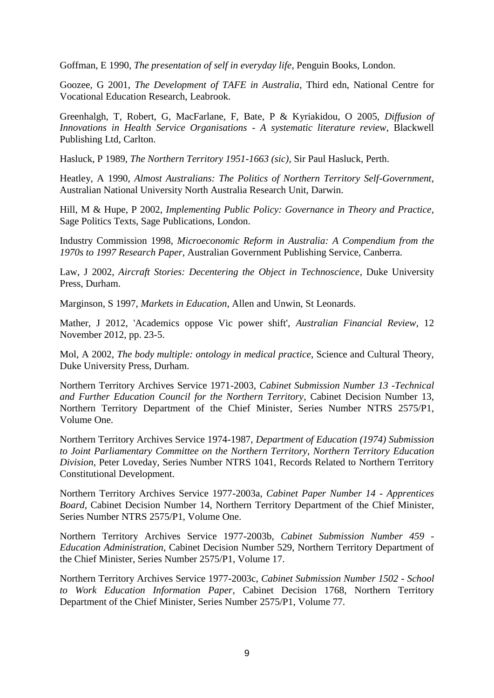Goffman, E 1990, *The presentation of self in everyday life*, Penguin Books, London.

Goozee, G 2001, *The Development of TAFE in Australia*, Third edn, National Centre for Vocational Education Research, Leabrook.

Greenhalgh, T, Robert, G, MacFarlane, F, Bate, P & Kyriakidou, O 2005, *Diffusion of Innovations in Health Service Organisations - A systematic literature review*, Blackwell Publishing Ltd, Carlton.

Hasluck, P 1989, *The Northern Territory 1951-1663 (sic)*, Sir Paul Hasluck, Perth.

Heatley, A 1990, *Almost Australians: The Politics of Northern Territory Self-Government*, Australian National University North Australia Research Unit, Darwin.

Hill, M & Hupe, P 2002, *Implementing Public Policy: Governance in Theory and Practice*, Sage Politics Texts, Sage Publications, London.

Industry Commission 1998, *Microeconomic Reform in Australia: A Compendium from the 1970s to 1997 Research Paper*, Australian Government Publishing Service, Canberra.

Law, J 2002, *Aircraft Stories: Decentering the Object in Technoscience*, Duke University Press, Durham.

Marginson, S 1997, *Markets in Education*, Allen and Unwin, St Leonards.

Mather, J 2012, 'Academics oppose Vic power shift', *Australian Financial Review*, 12 November 2012, pp. 23-5.

Mol, A 2002, *The body multiple: ontology in medical practice*, Science and Cultural Theory, Duke University Press, Durham.

Northern Territory Archives Service 1971-2003, *Cabinet Submission Number 13 -Technical and Further Education Council for the Northern Territory*, Cabinet Decision Number 13, Northern Territory Department of the Chief Minister, Series Number NTRS 2575/P1, Volume One.

Northern Territory Archives Service 1974-1987, *Department of Education (1974) Submission to Joint Parliamentary Committee on the Northern Territory, Northern Territory Education Division*, Peter Loveday, Series Number NTRS 1041, Records Related to Northern Territory Constitutional Development.

Northern Territory Archives Service 1977-2003a, *Cabinet Paper Number 14 - Apprentices Board*, Cabinet Decision Number 14, Northern Territory Department of the Chief Minister, Series Number NTRS 2575/P1, Volume One.

Northern Territory Archives Service 1977-2003b, *Cabinet Submission Number 459 - Education Administration*, Cabinet Decision Number 529, Northern Territory Department of the Chief Minister, Series Number 2575/P1, Volume 17.

Northern Territory Archives Service 1977-2003c, *Cabinet Submission Number 1502 - School to Work Education Information Paper*, Cabinet Decision 1768, Northern Territory Department of the Chief Minister, Series Number 2575/P1, Volume 77.